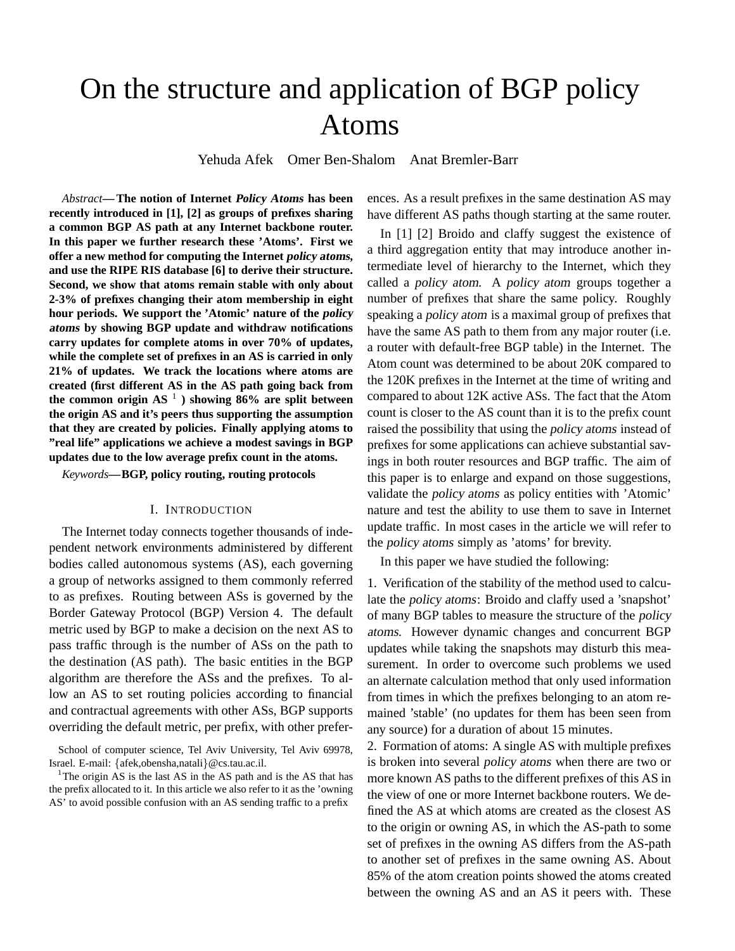# On the structure and application of BGP policy Atoms

Yehuda Afek Omer Ben-Shalom Anat Bremler-Barr

*Abstract***—The notion of Internet Policy Atoms has been recently introduced in [1], [2] as groups of prefixes sharing a common BGP AS path at any Internet backbone router. In this paper we further research these 'Atoms'. First we offer a new method for computing the Internet policy atoms, and use the RIPE RIS database [6] to derive their structure. Second, we show that atoms remain stable with only about 2-3% of prefixes changing their atom membership in eight hour periods. We support the 'Atomic' nature of the policy atoms by showing BGP update and withdraw notifications carry updates for complete atoms in over 70% of updates, while the complete set of prefixes in an AS is carried in only 21% of updates. We track the locations where atoms are created (first different AS in the AS path going back from the common origin AS** <sup>1</sup> **) showing 86% are split between the origin AS and it's peers thus supporting the assumption that they are created by policies. Finally applying atoms to "real life" applications we achieve a modest savings in BGP updates due to the low average prefix count in the atoms.**

*Keywords***—BGP, policy routing, routing protocols**

## I. INTRODUCTION

The Internet today connects together thousands of independent network environments administered by different bodies called autonomous systems (AS), each governing a group of networks assigned to them commonly referred to as prefixes. Routing between ASs is governed by the Border Gateway Protocol (BGP) Version 4. The default metric used by BGP to make a decision on the next AS to pass traffic through is the number of ASs on the path to the destination (AS path). The basic entities in the BGP algorithm are therefore the ASs and the prefixes. To allow an AS to set routing policies according to financial and contractual agreements with other ASs, BGP supports overriding the default metric, per prefix, with other prefer-

School of computer science, Tel Aviv University, Tel Aviv 69978, Israel. E-mail: {afek,obensha,natali}@cs.tau.ac.il.

<sup>1</sup>The origin AS is the last AS in the AS path and is the AS that has the prefix allocated to it. In this article we also refer to it as the 'owning AS' to avoid possible confusion with an AS sending traffic to a prefix

ences. As a result prefixes in the same destination AS may have different AS paths though starting at the same router.

In [1] [2] Broido and claffy suggest the existence of a third aggregation entity that may introduce another intermediate level of hierarchy to the Internet, which they called a policy atom. A policy atom groups together a number of prefixes that share the same policy. Roughly speaking a policy atom is a maximal group of prefixes that have the same AS path to them from any major router (i.e. a router with default-free BGP table) in the Internet. The Atom count was determined to be about 20K compared to the 120K prefixes in the Internet at the time of writing and compared to about 12K active ASs. The fact that the Atom count is closer to the AS count than it is to the prefix count raised the possibility that using the policy atoms instead of prefixes for some applications can achieve substantial savings in both router resources and BGP traffic. The aim of this paper is to enlarge and expand on those suggestions, validate the policy atoms as policy entities with 'Atomic' nature and test the ability to use them to save in Internet update traffic. In most cases in the article we will refer to the policy atoms simply as 'atoms' for brevity.

In this paper we have studied the following:

1. Verification of the stability of the method used to calculate the policy atoms: Broido and claffy used a 'snapshot' of many BGP tables to measure the structure of the policy atoms. However dynamic changes and concurrent BGP updates while taking the snapshots may disturb this measurement. In order to overcome such problems we used an alternate calculation method that only used information from times in which the prefixes belonging to an atom remained 'stable' (no updates for them has been seen from any source) for a duration of about 15 minutes.

2. Formation of atoms: A single AS with multiple prefixes is broken into several policy atoms when there are two or more known AS paths to the different prefixes of this AS in the view of one or more Internet backbone routers. We defined the AS at which atoms are created as the closest AS to the origin or owning AS, in which the AS-path to some set of prefixes in the owning AS differs from the AS-path to another set of prefixes in the same owning AS. About 85% of the atom creation points showed the atoms created between the owning AS and an AS it peers with. These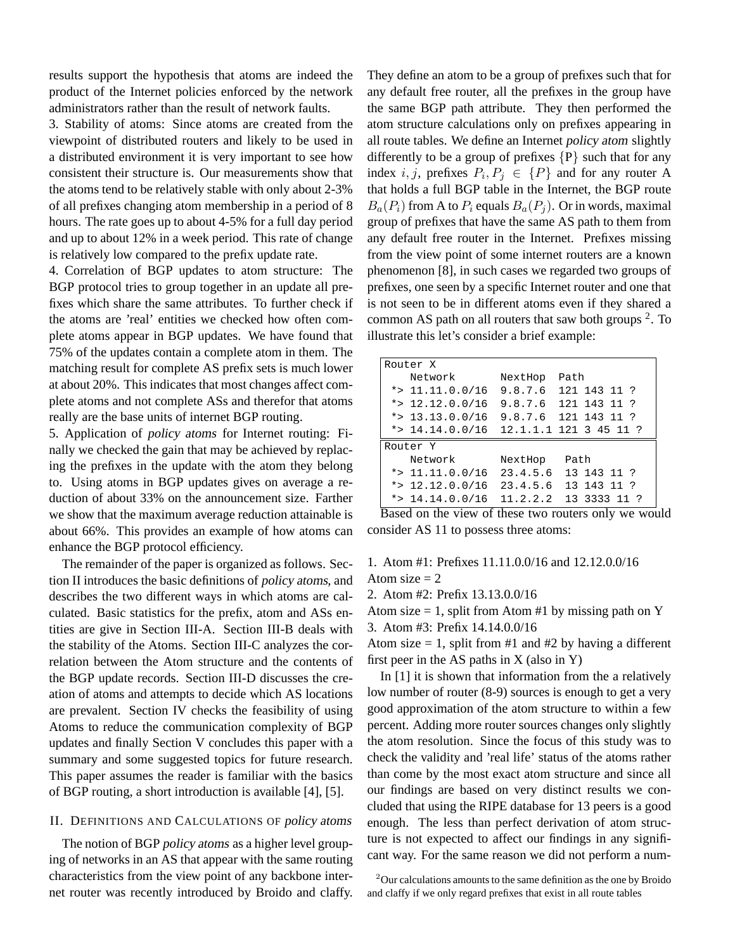results support the hypothesis that atoms are indeed the product of the Internet policies enforced by the network administrators rather than the result of network faults.

3. Stability of atoms: Since atoms are created from the viewpoint of distributed routers and likely to be used in a distributed environment it is very important to see how consistent their structure is. Our measurements show that the atoms tend to be relatively stable with only about 2-3% of all prefixes changing atom membership in a period of 8 hours. The rate goes up to about 4-5% for a full day period and up to about 12% in a week period. This rate of change is relatively low compared to the prefix update rate.

4. Correlation of BGP updates to atom structure: The BGP protocol tries to group together in an update all prefixes which share the same attributes. To further check if the atoms are 'real' entities we checked how often complete atoms appear in BGP updates. We have found that 75% of the updates contain a complete atom in them. The matching result for complete AS prefix sets is much lower at about 20%. This indicates that most changes affect complete atoms and not complete ASs and therefor that atoms really are the base units of internet BGP routing.

5. Application of policy atoms for Internet routing: Finally we checked the gain that may be achieved by replacing the prefixes in the update with the atom they belong to. Using atoms in BGP updates gives on average a reduction of about 33% on the announcement size. Farther we show that the maximum average reduction attainable is about 66%. This provides an example of how atoms can enhance the BGP protocol efficiency.

The remainder of the paper is organized as follows. Section II introduces the basic definitions of policy atoms, and describes the two different ways in which atoms are calculated. Basic statistics for the prefix, atom and ASs entities are give in Section III-A. Section III-B deals with the stability of the Atoms. Section III-C analyzes the correlation between the Atom structure and the contents of the BGP update records. Section III-D discusses the creation of atoms and attempts to decide which AS locations are prevalent. Section IV checks the feasibility of using Atoms to reduce the communication complexity of BGP updates and finally Section V concludes this paper with a summary and some suggested topics for future research. This paper assumes the reader is familiar with the basics of BGP routing, a short introduction is available [4], [5].

# II. DEFINITIONS AND CALCULATIONS OF policy atoms

The notion of BGP policy atoms as a higher level grouping of networks in an AS that appear with the same routing characteristics from the view point of any backbone internet router was recently introduced by Broido and claffy. They define an atom to be a group of prefixes such that for any default free router, all the prefixes in the group have the same BGP path attribute. They then performed the atom structure calculations only on prefixes appearing in all route tables. We define an Internet policy atom slightly differently to be a group of prefixes  $\{P\}$  such that for any index *i*, *j*, prefixes  $P_i, P_j \in \{P\}$  and for any router A that holds a full BGP table in the Internet, the BGP route  $B_a(P_i)$  from A to  $P_i$  equals  $B_a(P_i)$ . Or in words, maximal group of prefixes that have the same AS path to them from any default free router in the Internet. Prefixes missing from the view point of some internet routers are a known phenomenon [8], in such cases we regarded two groups of prefixes, one seen by a specific Internet router and one that is not seen to be in different atoms even if they shared a common AS path on all routers that saw both groups <sup>2</sup>. To illustrate this let's consider a brief example:

| Router X |                                              |          |                      |  |  |  |
|----------|----------------------------------------------|----------|----------------------|--|--|--|
|          | Network                                      | NextHop  | Path                 |  |  |  |
|          | $*>11.11.0.0/16$                             |          | 9.8.7.6 121 143 11 ? |  |  |  |
|          | *> $12.12.0.0/16$                            |          | 9.8.7.6 121 143 11 ? |  |  |  |
|          | *> 13.13.0.0/16                              |          | 9.8.7.6 121 143 11 ? |  |  |  |
|          | *> $14.14.0.0/16$ $12.1.1.1$ $121$ 3 45 11 ? |          |                      |  |  |  |
| Router Y |                                              |          |                      |  |  |  |
|          | Network                                      | NextHop  | Path                 |  |  |  |
|          | *> $11.11.0.0/16$                            | 23.4.5.6 | 13 143 11 ?          |  |  |  |
|          | *> $12.12.0.0/16$                            | 23.4.5.6 | 13 143 11 ?          |  |  |  |
|          | *> $14.14.0.0/16$                            | 11.2.2.2 | 13 3333 11 ?         |  |  |  |

Based on the view of these two routers only we would consider AS 11 to possess three atoms:

# 1. Atom #1: Prefixes 11.11.0.0/16 and 12.12.0.0/16 Atom size  $= 2$

2. Atom #2: Prefix 13.13.0.0/16

Atom size  $= 1$ , split from Atom #1 by missing path on Y 3. Atom #3: Prefix 14.14.0.0/16

Atom size  $= 1$ , split from #1 and #2 by having a different first peer in the AS paths in  $X$  (also in Y)

In [1] it is shown that information from the a relatively low number of router (8-9) sources is enough to get a very good approximation of the atom structure to within a few percent. Adding more router sources changes only slightly the atom resolution. Since the focus of this study was to check the validity and 'real life' status of the atoms rather than come by the most exact atom structure and since all our findings are based on very distinct results we concluded that using the RIPE database for 13 peers is a good enough. The less than perfect derivation of atom structure is not expected to affect our findings in any significant way. For the same reason we did not perform a num-

 $2$ Our calculations amounts to the same definition as the one by Broido and claffy if we only regard prefixes that exist in all route tables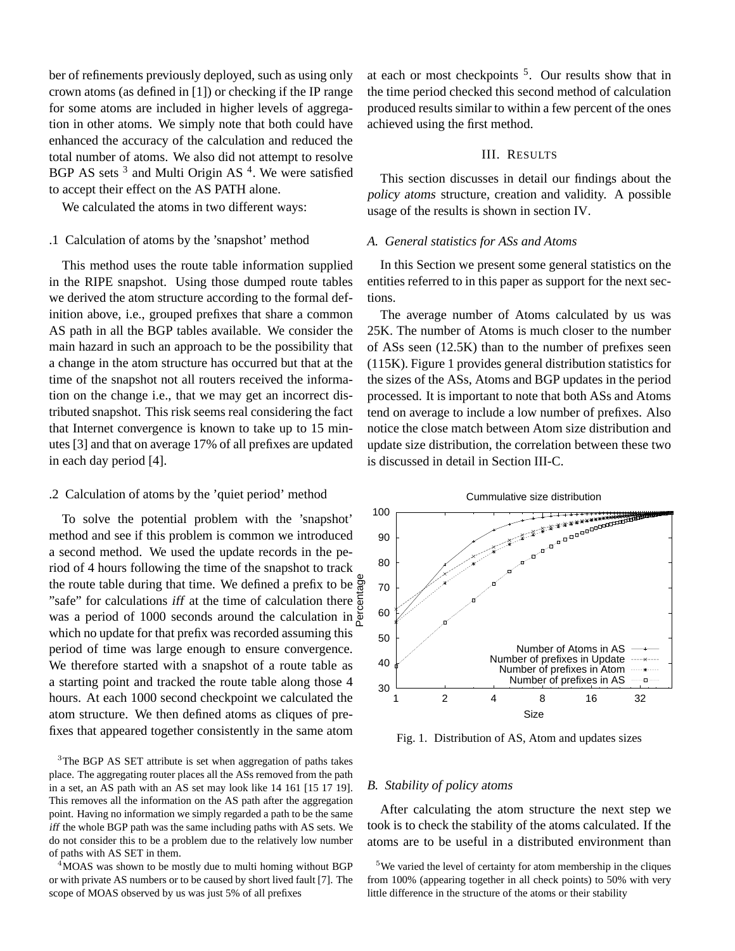ber of refinements previously deployed, such as using only crown atoms (as defined in [1]) or checking if the IP range for some atoms are included in higher levels of aggregation in other atoms. We simply note that both could have enhanced the accuracy of the calculation and reduced the total number of atoms. We also did not attempt to resolve BGP AS sets<sup>3</sup> and Multi Origin AS<sup>4</sup>. We were satisfied to accept their effect on the AS PATH alone.

We calculated the atoms in two different ways:

# .1 Calculation of atoms by the 'snapshot' method

This method uses the route table information supplied in the RIPE snapshot. Using those dumped route tables we derived the atom structure according to the formal definition above, i.e., grouped prefixes that share a common AS path in all the BGP tables available. We consider the main hazard in such an approach to be the possibility that a change in the atom structure has occurred but that at the time of the snapshot not all routers received the information on the change i.e., that we may get an incorrect distributed snapshot. This risk seems real considering the fact that Internet convergence is known to take up to 15 minutes [3] and that on average 17% of all prefixes are updated in each day period [4].

## .2 Calculation of atoms by the 'quiet period' method

To solve the potential problem with the 'snapshot' method and see if this problem is common we introduced a second method. We used the update records in the period of 4 hours following the time of the snapshot to track the route table during that time. We defined a prefix to be  $\ddot{g}$ "safe" for calculations iff at the time of calculation there was a period of 1000 seconds around the calculation in which no update for that prefix was recorded assuming this period of time was large enough to ensure convergence. We therefore started with a snapshot of a route table as a starting point and tracked the route table along those 4 hours. At each 1000 second checkpoint we calculated the atom structure. We then defined atoms as cliques of prefixes that appeared together consistently in the same atom Percentage

<sup>3</sup>The BGP AS SET attribute is set when aggregation of paths takes place. The aggregating router places all the ASs removed from the path in a set, an AS path with an AS set may look like 14 161 [15 17 19]. This removes all the information on the AS path after the aggregation point. Having no information we simply regarded a path to be the same iff the whole BGP path was the same including paths with AS sets. We do not consider this to be a problem due to the relatively low number of paths with AS SET in them.

<sup>4</sup>MOAS was shown to be mostly due to multi homing without BGP or with private AS numbers or to be caused by short lived fault [7]. The scope of MOAS observed by us was just 5% of all prefixes

at each or most checkpoints  $5$ . Our results show that in the time period checked this second method of calculation produced results similar to within a few percent of the ones achieved using the first method.

#### III. RESULTS

This section discusses in detail our findings about the policy atoms structure, creation and validity. A possible usage of the results is shown in section IV.

# *A. General statistics for ASs and Atoms*

In this Section we present some general statistics on the entities referred to in this paper as support for the next sections.

The average number of Atoms calculated by us was 25K. The number of Atoms is much closer to the number of ASs seen (12.5K) than to the number of prefixes seen (115K). Figure 1 provides general distribution statistics for the sizes of the ASs, Atoms and BGP updates in the period processed. It is important to note that both ASs and Atoms tend on average to include a low number of prefixes. Also notice the close match between Atom size distribution and update size distribution, the correlation between these two is discussed in detail in Section III-C.





Fig. 1. Distribution of AS, Atom and updates sizes

#### *B. Stability of* policy atoms

After calculating the atom structure the next step we took is to check the stability of the atoms calculated. If the atoms are to be useful in a distributed environment than

<sup>&</sup>lt;sup>5</sup>We varied the level of certainty for atom membership in the cliques from 100% (appearing together in all check points) to 50% with very little difference in the structure of the atoms or their stability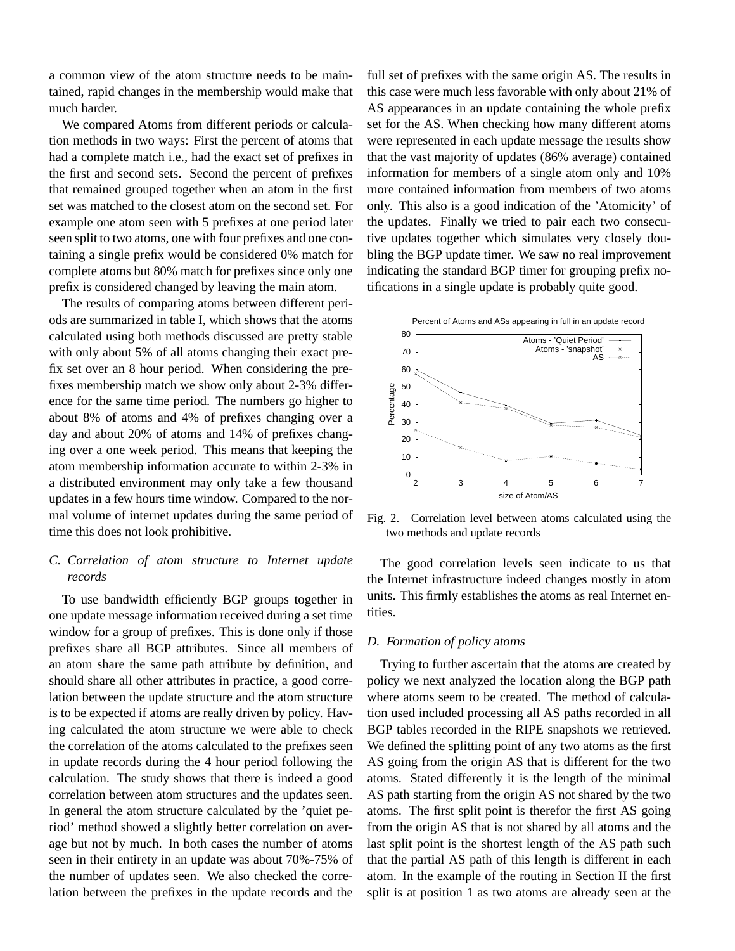a common view of the atom structure needs to be maintained, rapid changes in the membership would make that much harder.

We compared Atoms from different periods or calculation methods in two ways: First the percent of atoms that had a complete match i.e., had the exact set of prefixes in the first and second sets. Second the percent of prefixes that remained grouped together when an atom in the first set was matched to the closest atom on the second set. For example one atom seen with 5 prefixes at one period later seen split to two atoms, one with four prefixes and one containing a single prefix would be considered 0% match for complete atoms but 80% match for prefixes since only one prefix is considered changed by leaving the main atom.

The results of comparing atoms between different periods are summarized in table I, which shows that the atoms calculated using both methods discussed are pretty stable with only about 5% of all atoms changing their exact prefix set over an 8 hour period. When considering the prefixes membership match we show only about 2-3% difference for the same time period. The numbers go higher to about 8% of atoms and 4% of prefixes changing over a day and about 20% of atoms and 14% of prefixes changing over a one week period. This means that keeping the atom membership information accurate to within 2-3% in a distributed environment may only take a few thousand updates in a few hours time window. Compared to the normal volume of internet updates during the same period of time this does not look prohibitive.

# *C. Correlation of atom structure to Internet update records*

To use bandwidth efficiently BGP groups together in one update message information received during a set time window for a group of prefixes. This is done only if those prefixes share all BGP attributes. Since all members of an atom share the same path attribute by definition, and should share all other attributes in practice, a good correlation between the update structure and the atom structure is to be expected if atoms are really driven by policy. Having calculated the atom structure we were able to check the correlation of the atoms calculated to the prefixes seen in update records during the 4 hour period following the calculation. The study shows that there is indeed a good correlation between atom structures and the updates seen. In general the atom structure calculated by the 'quiet period' method showed a slightly better correlation on average but not by much. In both cases the number of atoms seen in their entirety in an update was about 70%-75% of the number of updates seen. We also checked the correlation between the prefixes in the update records and the full set of prefixes with the same origin AS. The results in this case were much less favorable with only about 21% of AS appearances in an update containing the whole prefix set for the AS. When checking how many different atoms were represented in each update message the results show that the vast majority of updates (86% average) contained information for members of a single atom only and 10% more contained information from members of two atoms only. This also is a good indication of the 'Atomicity' of the updates. Finally we tried to pair each two consecutive updates together which simulates very closely doubling the BGP update timer. We saw no real improvement indicating the standard BGP timer for grouping prefix notifications in a single update is probably quite good.



Fig. 2. Correlation level between atoms calculated using the two methods and update records

The good correlation levels seen indicate to us that the Internet infrastructure indeed changes mostly in atom units. This firmly establishes the atoms as real Internet entities.

## *D. Formation of* policy atoms

Trying to further ascertain that the atoms are created by policy we next analyzed the location along the BGP path where atoms seem to be created. The method of calculation used included processing all AS paths recorded in all BGP tables recorded in the RIPE snapshots we retrieved. We defined the splitting point of any two atoms as the first AS going from the origin AS that is different for the two atoms. Stated differently it is the length of the minimal AS path starting from the origin AS not shared by the two atoms. The first split point is therefor the first AS going from the origin AS that is not shared by all atoms and the last split point is the shortest length of the AS path such that the partial AS path of this length is different in each atom. In the example of the routing in Section II the first split is at position 1 as two atoms are already seen at the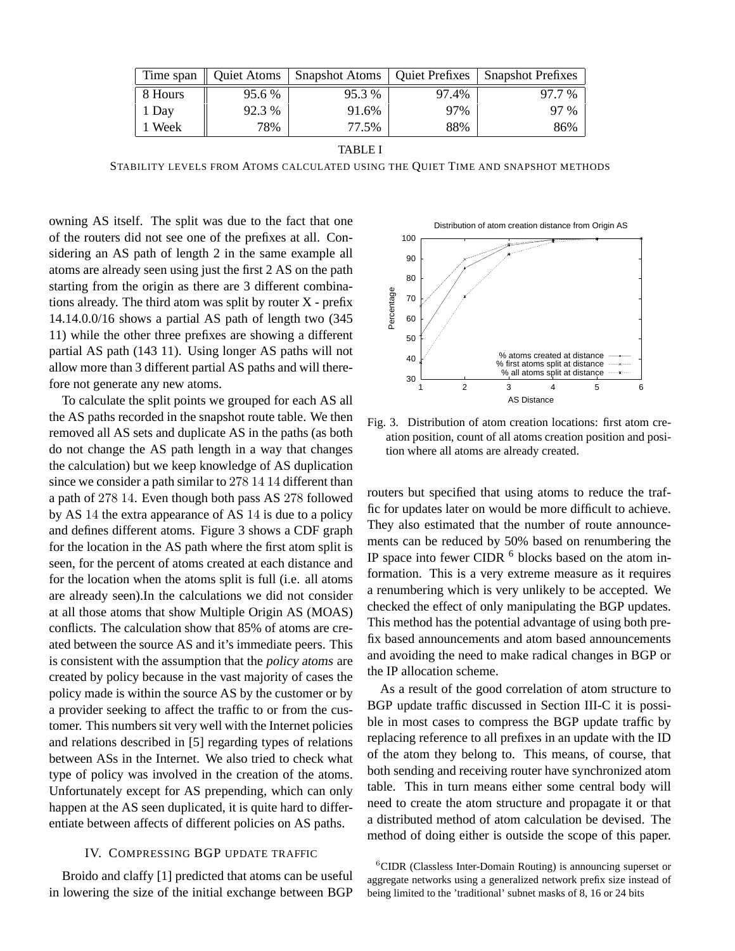| Time span | <b>Oujet Atoms</b> | <b>Snapshot Atoms</b>   Quiet Prefixes |       | <b>Snapshot Prefixes</b> |
|-----------|--------------------|----------------------------------------|-------|--------------------------|
| 8 Hours   | 95.6 %             | 95.3 %                                 | 97.4% | 97.7 %                   |
| 1 Day     | 92.3 %             | 91.6%                                  | 97%   | 97 %                     |
| Week      | 78%                | 77.5%                                  | 88%   | 86%                      |

TABLE I

STABILITY LEVELS FROM ATOMS CALCULATED USING THE QUIET TIME AND SNAPSHOT METHODS

owning AS itself. The split was due to the fact that one of the routers did not see one of the prefixes at all. Considering an AS path of length 2 in the same example all atoms are already seen using just the first 2 AS on the path starting from the origin as there are 3 different combinations already. The third atom was split by router X - prefix 14.14.0.0/16 shows a partial AS path of length two (345 11) while the other three prefixes are showing a different partial AS path (143 11). Using longer AS paths will not allow more than 3 different partial AS paths and will therefore not generate any new atoms.

To calculate the split points we grouped for each AS all the AS paths recorded in the snapshot route table. We then removed all AS sets and duplicate AS in the paths (as both do not change the AS path length in a way that changes the calculation) but we keep knowledge of AS duplication since we consider a path similar to 278 14 14 different than a path of 278 14. Even though both pass AS 278 followed by AS 14 the extra appearance of AS 14 is due to a policy and defines different atoms. Figure 3 shows a CDF graph for the location in the AS path where the first atom split is seen, for the percent of atoms created at each distance and for the location when the atoms split is full (i.e. all atoms are already seen).In the calculations we did not consider at all those atoms that show Multiple Origin AS (MOAS) conflicts. The calculation show that 85% of atoms are created between the source AS and it's immediate peers. This is consistent with the assumption that the policy atoms are created by policy because in the vast majority of cases the policy made is within the source AS by the customer or by a provider seeking to affect the traffic to or from the customer. This numbers sit very well with the Internet policies and relations described in [5] regarding types of relations between ASs in the Internet. We also tried to check what type of policy was involved in the creation of the atoms. Unfortunately except for AS prepending, which can only happen at the AS seen duplicated, it is quite hard to differentiate between affects of different policies on AS paths.

# IV. COMPRESSING BGP UPDATE TRAFFIC

Broido and claffy [1] predicted that atoms can be useful in lowering the size of the initial exchange between BGP



Fig. 3. Distribution of atom creation locations: first atom creation position, count of all atoms creation position and position where all atoms are already created.

routers but specified that using atoms to reduce the traffic for updates later on would be more difficult to achieve. They also estimated that the number of route announcements can be reduced by 50% based on renumbering the IP space into fewer CIDR  $<sup>6</sup>$  blocks based on the atom in-</sup> formation. This is a very extreme measure as it requires a renumbering which is very unlikely to be accepted. We checked the effect of only manipulating the BGP updates. This method has the potential advantage of using both prefix based announcements and atom based announcements and avoiding the need to make radical changes in BGP or the IP allocation scheme.

As a result of the good correlation of atom structure to BGP update traffic discussed in Section III-C it is possible in most cases to compress the BGP update traffic by replacing reference to all prefixes in an update with the ID of the atom they belong to. This means, of course, that both sending and receiving router have synchronized atom table. This in turn means either some central body will need to create the atom structure and propagate it or that a distributed method of atom calculation be devised. The method of doing either is outside the scope of this paper.

 ${}^{6}$ CIDR (Classless Inter-Domain Routing) is announcing superset or aggregate networks using a generalized network prefix size instead of being limited to the 'traditional' subnet masks of 8, 16 or 24 bits